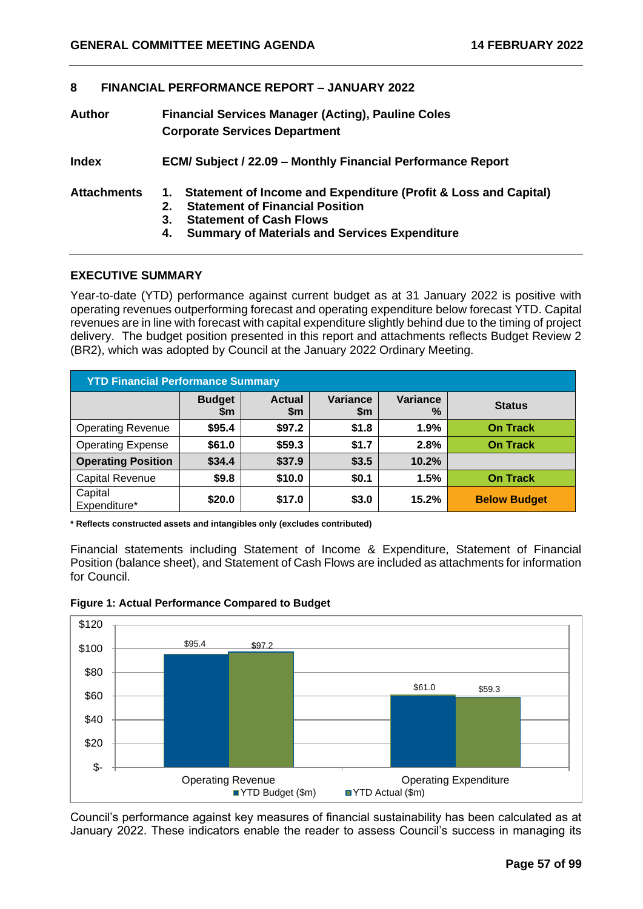#### **8 FINANCIAL PERFORMANCE REPORT – JANUARY 2022**

| Author             | <b>Financial Services Manager (Acting), Pauline Coles</b><br><b>Corporate Services Department</b>                  |
|--------------------|--------------------------------------------------------------------------------------------------------------------|
| <b>Index</b>       | <b>ECM/ Subject / 22.09 - Monthly Financial Performance Report</b>                                                 |
| <b>Attachments</b> | 1. Statement of Income and Expenditure (Profit & Loss and Capital)<br><b>Statement of Financial Position</b><br>2. |

- **3. Statement of Cash Flows**
- **4. Summary of Materials and Services Expenditure**

## **EXECUTIVE SUMMARY**

Year-to-date (YTD) performance against current budget as at 31 January 2022 is positive with operating revenues outperforming forecast and operating expenditure below forecast YTD. Capital revenues are in line with forecast with capital expenditure slightly behind due to the timing of project delivery. The budget position presented in this report and attachments reflects Budget Review 2 (BR2), which was adopted by Council at the January 2022 Ordinary Meeting.

| <b>YTD Financial Performance Summary</b> |                                                                                                          |        |       |       |                     |  |  |  |
|------------------------------------------|----------------------------------------------------------------------------------------------------------|--------|-------|-------|---------------------|--|--|--|
|                                          | Variance<br><b>Variance</b><br><b>Actual</b><br><b>Budget</b><br><b>Status</b><br>%<br>\$m<br>\$m<br>\$m |        |       |       |                     |  |  |  |
| <b>Operating Revenue</b>                 | \$95.4                                                                                                   | \$97.2 | \$1.8 | 1.9%  | <b>On Track</b>     |  |  |  |
| <b>Operating Expense</b>                 | \$61.0                                                                                                   | \$59.3 | \$1.7 | 2.8%  | <b>On Track</b>     |  |  |  |
| <b>Operating Position</b>                | \$34.4                                                                                                   | \$37.9 | \$3.5 | 10.2% |                     |  |  |  |
| <b>Capital Revenue</b>                   | \$9.8                                                                                                    | \$10.0 | \$0.1 | 1.5%  | <b>On Track</b>     |  |  |  |
| Capital<br>Expenditure*                  | \$20.0                                                                                                   | \$17.0 | \$3.0 | 15.2% | <b>Below Budget</b> |  |  |  |

**\* Reflects constructed assets and intangibles only (excludes contributed)**

Financial statements including Statement of Income & Expenditure, Statement of Financial Position (balance sheet), and Statement of Cash Flows are included as attachments for information for Council.



#### **Figure 1: Actual Performance Compared to Budget**

Council's performance against key measures of financial sustainability has been calculated as at January 2022. These indicators enable the reader to assess Council's success in managing its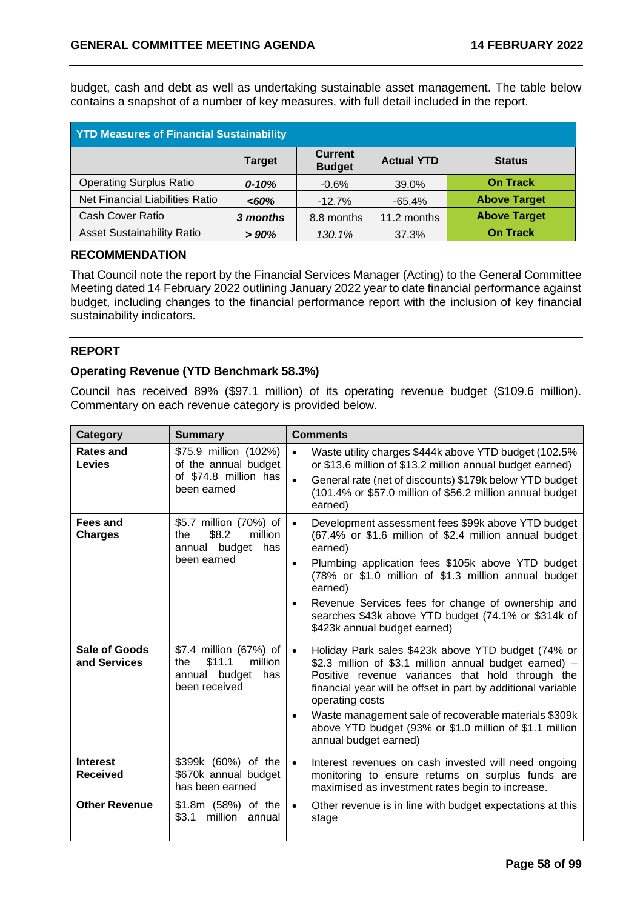budget, cash and debt as well as undertaking sustainable asset management. The table below contains a snapshot of a number of key measures, with full detail included in the report.

| <b>YTD Measures of Financial Sustainability</b>                                        |           |            |             |                     |  |  |  |
|----------------------------------------------------------------------------------------|-----------|------------|-------------|---------------------|--|--|--|
| <b>Current</b><br><b>Actual YTD</b><br><b>Status</b><br><b>Target</b><br><b>Budget</b> |           |            |             |                     |  |  |  |
| <b>Operating Surplus Ratio</b>                                                         | $0 - 10%$ | $-0.6%$    | 39.0%       | <b>On Track</b>     |  |  |  |
| Net Financial Liabilities Ratio                                                        | <60%      | $-12.7%$   | $-65.4%$    | <b>Above Target</b> |  |  |  |
| Cash Cover Ratio                                                                       | 3 months  | 8.8 months | 11.2 months | <b>Above Target</b> |  |  |  |
| <b>Asset Sustainability Ratio</b>                                                      | >90%      | 130.1%     | 37.3%       | <b>On Track</b>     |  |  |  |

## **RECOMMENDATION**

That Council note the report by the Financial Services Manager (Acting) to the General Committee Meeting dated 14 February 2022 outlining January 2022 year to date financial performance against budget, including changes to the financial performance report with the inclusion of key financial sustainability indicators.

# **REPORT**

## **Operating Revenue (YTD Benchmark 58.3%)**

Council has received 89% (\$97.1 million) of its operating revenue budget (\$109.6 million). Commentary on each revenue category is provided below.

| Category                             | <b>Summary</b>                                                                           | <b>Comments</b>                                                                                                                                                                                                                                                                                                                                                                                                            |
|--------------------------------------|------------------------------------------------------------------------------------------|----------------------------------------------------------------------------------------------------------------------------------------------------------------------------------------------------------------------------------------------------------------------------------------------------------------------------------------------------------------------------------------------------------------------------|
| <b>Rates and</b><br><b>Levies</b>    | \$75.9 million (102%)<br>of the annual budget<br>of \$74.8 million has<br>been earned    | Waste utility charges \$444k above YTD budget (102.5%)<br>$\bullet$<br>or \$13.6 million of \$13.2 million annual budget earned)<br>General rate (net of discounts) \$179k below YTD budget<br>$\bullet$<br>(101.4% or \$57.0 million of \$56.2 million annual budget<br>earned)                                                                                                                                           |
| <b>Fees and</b><br><b>Charges</b>    | \$5.7 million (70%) of<br>\$8.2<br>million<br>the<br>annual budget has<br>been earned    | Development assessment fees \$99k above YTD budget<br>$\bullet$<br>(67.4% or \$1.6 million of \$2.4 million annual budget<br>earned)<br>Plumbing application fees \$105k above YTD budget<br>$\bullet$<br>(78% or \$1.0 million of \$1.3 million annual budget<br>earned)<br>Revenue Services fees for change of ownership and<br>searches \$43k above YTD budget (74.1% or \$314k of<br>\$423k annual budget earned)      |
| <b>Sale of Goods</b><br>and Services | \$7.4 million (67%) of<br>\$11.1<br>million<br>the<br>annual budget has<br>been received | Holiday Park sales \$423k above YTD budget (74% or<br>$\bullet$<br>\$2.3 million of \$3.1 million annual budget earned) -<br>Positive revenue variances that hold through the<br>financial year will be offset in part by additional variable<br>operating costs<br>Waste management sale of recoverable materials \$309k<br>$\bullet$<br>above YTD budget (93% or \$1.0 million of \$1.1 million<br>annual budget earned) |
| <b>Interest</b><br><b>Received</b>   | \$399k (60%) of the<br>\$670k annual budget<br>has been earned                           | Interest revenues on cash invested will need ongoing<br>$\bullet$<br>monitoring to ensure returns on surplus funds are<br>maximised as investment rates begin to increase.                                                                                                                                                                                                                                                 |
| <b>Other Revenue</b>                 | \$1.8m (58%) of the<br>million<br>\$3.1<br>annual                                        | Other revenue is in line with budget expectations at this<br>$\bullet$<br>stage                                                                                                                                                                                                                                                                                                                                            |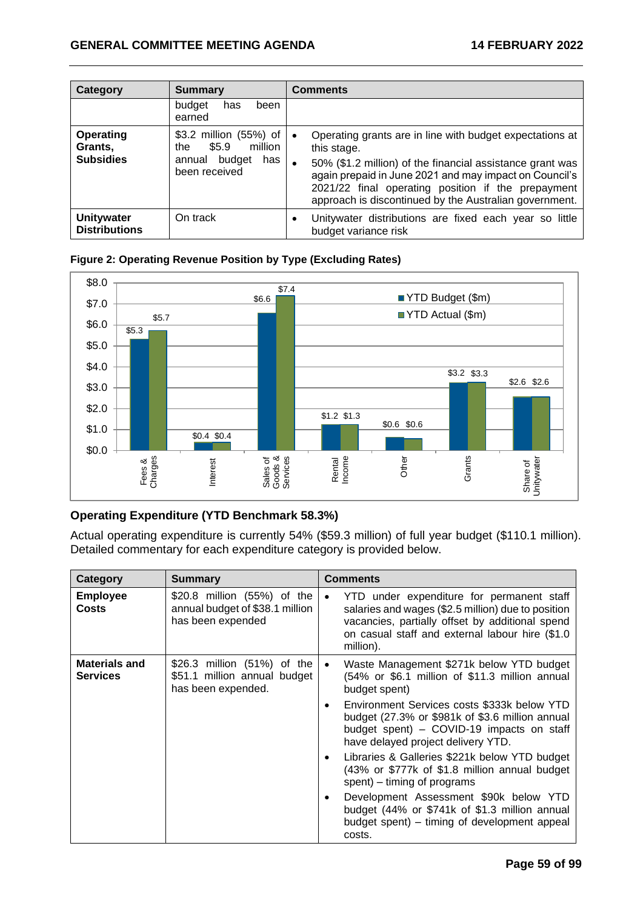| Category                                        | <b>Summary</b>                                                                                  | Comments                                                                                                                                                                                                                                                                                                       |
|-------------------------------------------------|-------------------------------------------------------------------------------------------------|----------------------------------------------------------------------------------------------------------------------------------------------------------------------------------------------------------------------------------------------------------------------------------------------------------------|
|                                                 | budget<br>has<br>been<br>earned                                                                 |                                                                                                                                                                                                                                                                                                                |
| <b>Operating</b><br>Grants,<br><b>Subsidies</b> | \$3.2 million (55%) of<br>\$5.9<br>million<br>the<br>budget<br>has I<br>annual<br>been received | Operating grants are in line with budget expectations at<br>this stage.<br>50% (\$1.2 million) of the financial assistance grant was<br>again prepaid in June 2021 and may impact on Council's<br>2021/22 final operating position if the prepayment<br>approach is discontinued by the Australian government. |
| <b>Unitywater</b><br><b>Distributions</b>       | On track                                                                                        | Unitywater distributions are fixed each year so little<br>budget variance risk                                                                                                                                                                                                                                 |





# **Operating Expenditure (YTD Benchmark 58.3%)**

Actual operating expenditure is currently 54% (\$59.3 million) of full year budget (\$110.1 million). Detailed commentary for each expenditure category is provided below.

| Category                                | <b>Summary</b>                                                                      | <b>Comments</b>                                                                                                                                                                                                                                                                                                                                                                                                                                                                                                                                                                        |
|-----------------------------------------|-------------------------------------------------------------------------------------|----------------------------------------------------------------------------------------------------------------------------------------------------------------------------------------------------------------------------------------------------------------------------------------------------------------------------------------------------------------------------------------------------------------------------------------------------------------------------------------------------------------------------------------------------------------------------------------|
| <b>Employee</b><br><b>Costs</b>         | \$20.8 million (55%) of the<br>annual budget of \$38.1 million<br>has been expended | YTD under expenditure for permanent staff<br>$\bullet$<br>salaries and wages (\$2.5 million) due to position<br>vacancies, partially offset by additional spend<br>on casual staff and external labour hire (\$1.0<br>million).                                                                                                                                                                                                                                                                                                                                                        |
| <b>Materials and</b><br><b>Services</b> | \$26.3 million (51%) of the<br>\$51.1 million annual budget<br>has been expended.   | Waste Management \$271k below YTD budget<br>(54% or \$6.1 million of \$11.3 million annual<br>budget spent)<br>Environment Services costs \$333k below YTD<br>budget (27.3% or \$981k of \$3.6 million annual<br>budget spent) - COVID-19 impacts on staff<br>have delayed project delivery YTD.<br>Libraries & Galleries \$221k below YTD budget<br>(43% or \$777k of \$1.8 million annual budget<br>spent) – timing of programs<br>Development Assessment \$90k below YTD<br>budget (44% or \$741k of \$1.3 million annual<br>budget spent) – timing of development appeal<br>costs. |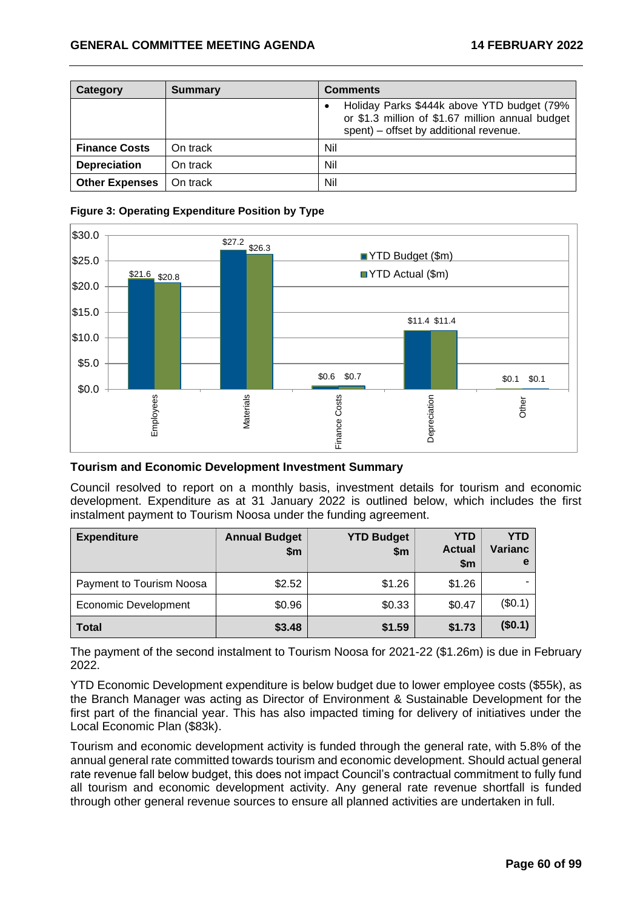| Category              | <b>Summary</b> | <b>Comments</b>                                                                                                                                       |
|-----------------------|----------------|-------------------------------------------------------------------------------------------------------------------------------------------------------|
|                       |                | Holiday Parks \$444k above YTD budget (79%<br>$\bullet$<br>or \$1.3 million of \$1.67 million annual budget<br>spent) – offset by additional revenue. |
| <b>Finance Costs</b>  | On track       | Nil                                                                                                                                                   |
| <b>Depreciation</b>   | On track       | Nil                                                                                                                                                   |
| <b>Other Expenses</b> | On track       | Nil                                                                                                                                                   |



# **Figure 3: Operating Expenditure Position by Type**

# **Tourism and Economic Development Investment Summary**

Council resolved to report on a monthly basis, investment details for tourism and economic development. Expenditure as at 31 January 2022 is outlined below, which includes the first instalment payment to Tourism Noosa under the funding agreement.

| <b>Expenditure</b>       | <b>Annual Budget</b><br>\$m | <b>YTD Budget</b><br>\$m\$ | <b>YTD</b><br><b>Actual</b><br>$\mathsf{sm}$ | YTD<br><b>Varianc</b><br>е |
|--------------------------|-----------------------------|----------------------------|----------------------------------------------|----------------------------|
| Payment to Tourism Noosa | \$2.52                      | \$1.26                     | \$1.26                                       |                            |
| Economic Development     | \$0.96                      | \$0.33                     | \$0.47                                       | (\$0.1)                    |
| <b>Total</b>             | \$3.48                      | \$1.59                     | \$1.73                                       | (\$0.1)                    |

The payment of the second instalment to Tourism Noosa for 2021-22 (\$1.26m) is due in February 2022.

YTD Economic Development expenditure is below budget due to lower employee costs (\$55k), as the Branch Manager was acting as Director of Environment & Sustainable Development for the first part of the financial year. This has also impacted timing for delivery of initiatives under the Local Economic Plan (\$83k).

Tourism and economic development activity is funded through the general rate, with 5.8% of the annual general rate committed towards tourism and economic development. Should actual general rate revenue fall below budget, this does not impact Council's contractual commitment to fully fund all tourism and economic development activity. Any general rate revenue shortfall is funded through other general revenue sources to ensure all planned activities are undertaken in full.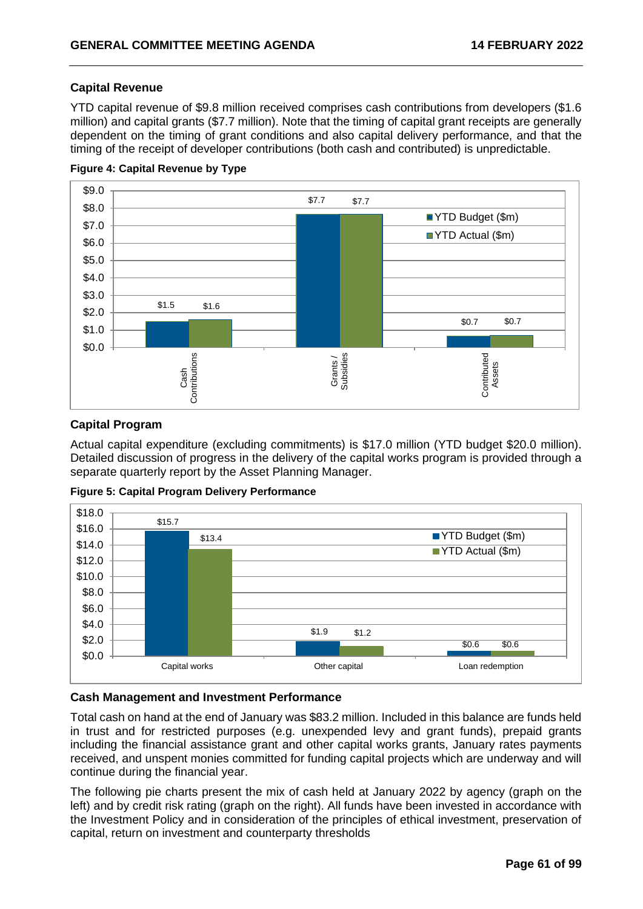# **Capital Revenue**

YTD capital revenue of \$9.8 million received comprises cash contributions from developers (\$1.6 million) and capital grants (\$7.7 million). Note that the timing of capital grant receipts are generally dependent on the timing of grant conditions and also capital delivery performance, and that the timing of the receipt of developer contributions (both cash and contributed) is unpredictable.



#### **Figure 4: Capital Revenue by Type**

# **Capital Program**

Actual capital expenditure (excluding commitments) is \$17.0 million (YTD budget \$20.0 million). Detailed discussion of progress in the delivery of the capital works program is provided through a separate quarterly report by the Asset Planning Manager.

**Figure 5: Capital Program Delivery Performance**



#### **Cash Management and Investment Performance**

Total cash on hand at the end of January was \$83.2 million. Included in this balance are funds held in trust and for restricted purposes (e.g. unexpended levy and grant funds), prepaid grants including the financial assistance grant and other capital works grants, January rates payments received, and unspent monies committed for funding capital projects which are underway and will continue during the financial year.

The following pie charts present the mix of cash held at January 2022 by agency (graph on the left) and by credit risk rating (graph on the right). All funds have been invested in accordance with the Investment Policy and in consideration of the principles of ethical investment, preservation of capital, return on investment and counterparty thresholds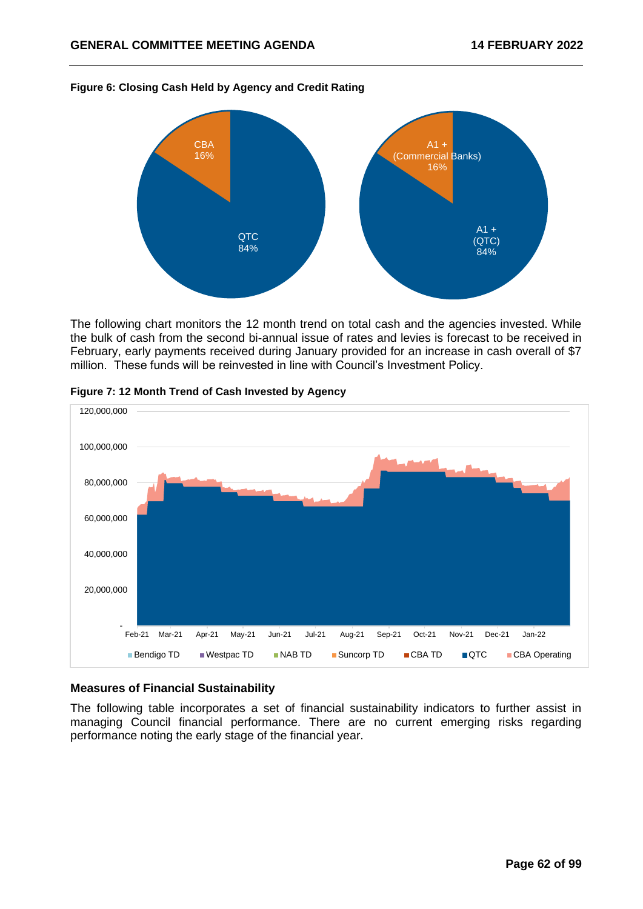

#### **Figure 6: Closing Cash Held by Agency and Credit Rating**

The following chart monitors the 12 month trend on total cash and the agencies invested. While the bulk of cash from the second bi-annual issue of rates and levies is forecast to be received in February, early payments received during January provided for an increase in cash overall of \$7 million. These funds will be reinvested in line with Council's Investment Policy.





# **Measures of Financial Sustainability**

The following table incorporates a set of financial sustainability indicators to further assist in managing Council financial performance. There are no current emerging risks regarding performance noting the early stage of the financial year.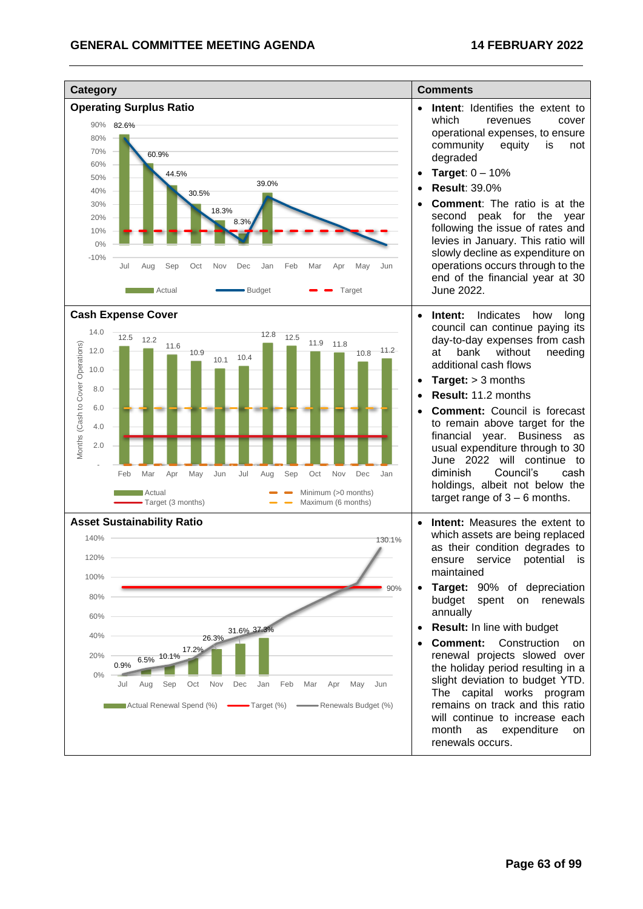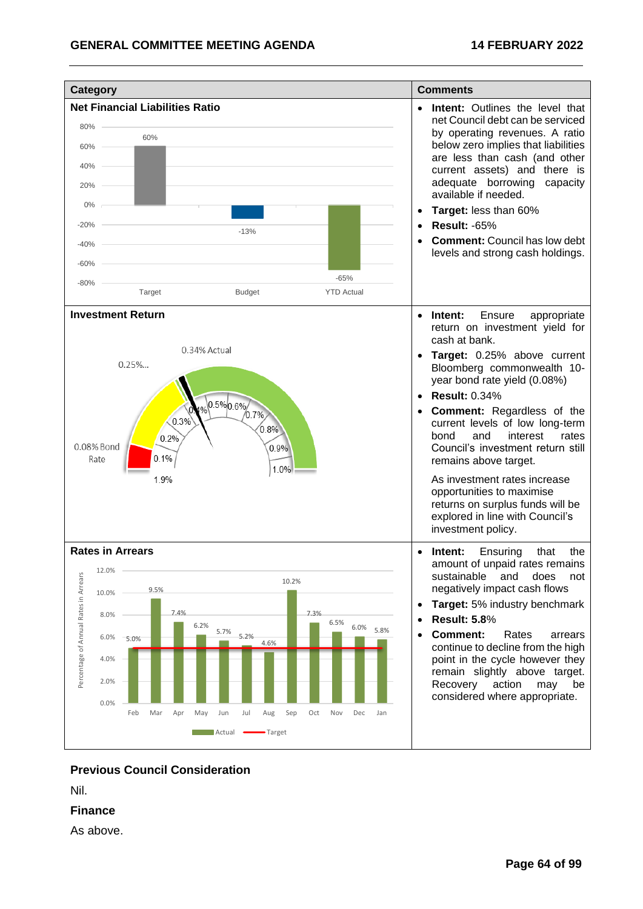

# **Previous Council Consideration**

Nil.

# **Finance**

As above.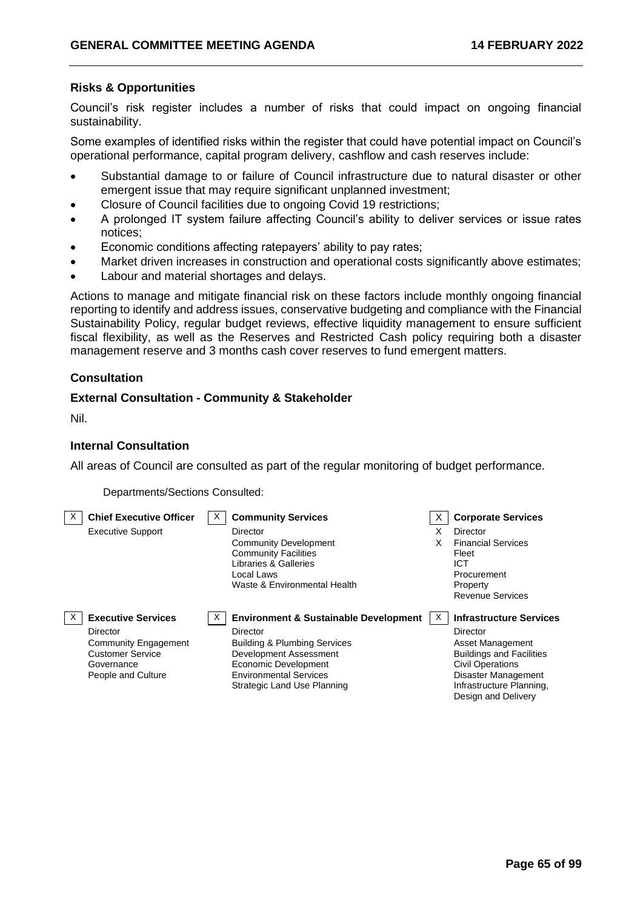# **Risks & Opportunities**

Council's risk register includes a number of risks that could impact on ongoing financial sustainability.

Some examples of identified risks within the register that could have potential impact on Council's operational performance, capital program delivery, cashflow and cash reserves include:

- Substantial damage to or failure of Council infrastructure due to natural disaster or other emergent issue that may require significant unplanned investment;
- Closure of Council facilities due to ongoing Covid 19 restrictions;
- A prolonged IT system failure affecting Council's ability to deliver services or issue rates notices;
- Economic conditions affecting ratepayers' ability to pay rates;
- Market driven increases in construction and operational costs significantly above estimates;
- Labour and material shortages and delays.

Actions to manage and mitigate financial risk on these factors include monthly ongoing financial reporting to identify and address issues, conservative budgeting and compliance with the Financial Sustainability Policy, regular budget reviews, effective liquidity management to ensure sufficient fiscal flexibility, as well as the Reserves and Restricted Cash policy requiring both a disaster management reserve and 3 months cash cover reserves to fund emergent matters.

# **Consultation**

## **External Consultation - Community & Stakeholder**

Nil.

## **Internal Consultation**

All areas of Council are consulted as part of the regular monitoring of budget performance.

Departments/Sections Consulted:

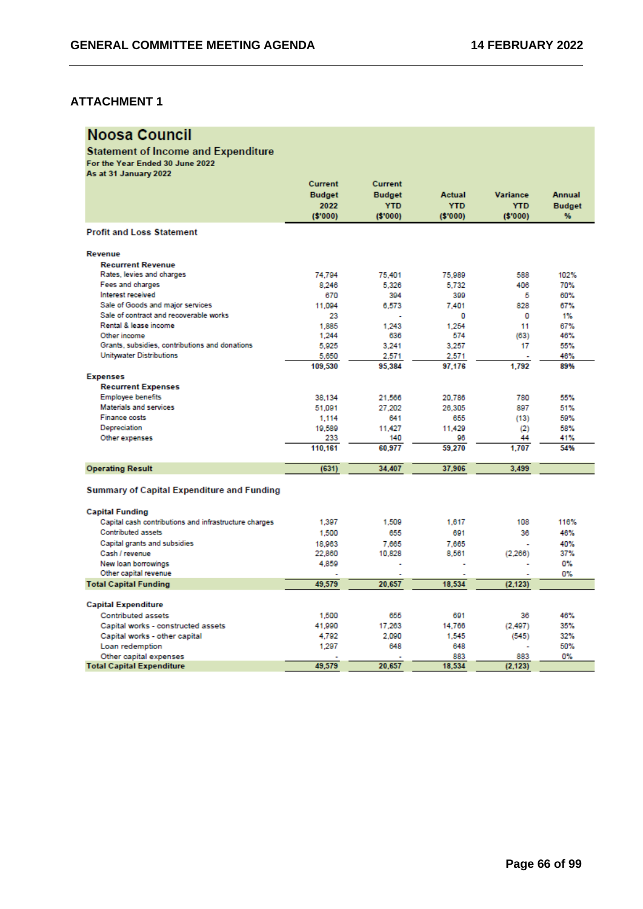# **Noosa Council**

# Statement of Income and Expenditure<br>For the Year Ended 30 June 2022<br>As at 31 January 2022

|                                                       | Current       | Current       |               |                 |               |
|-------------------------------------------------------|---------------|---------------|---------------|-----------------|---------------|
|                                                       | <b>Budget</b> | <b>Budget</b> | <b>Actual</b> | <b>Variance</b> | <b>Annual</b> |
|                                                       | 2022          | <b>YTD</b>    | <b>YTD</b>    | <b>YTD</b>      | <b>Budget</b> |
|                                                       | ( \$'000)     | (S'000)       | (S'000)       | (\$'000)        | %             |
| <b>Profit and Loss Statement</b>                      |               |               |               |                 |               |
| <b>Revenue</b>                                        |               |               |               |                 |               |
| <b>Recurrent Revenue</b>                              |               |               |               |                 |               |
| Rates, levies and charges                             | 74.794        | 75,401        | 75,989        | 588             | 102%          |
| Fees and charges                                      | 8.246         | 5.326         | 5.732         | 406             | 70%           |
| Interest received                                     | 670           | 394           | 399           | 5               | 60%           |
| Sale of Goods and major services                      | 11.094        | 6.573         | 7.401         | 828             | 67%           |
| Sale of contract and recoverable works                | 23            |               | O             | 0               | 1%            |
| Rental & lease income                                 | 1.885         | 1.243         | 1.254         | 11              | 67%           |
| Other income                                          | 1.244         | 636           | 574           | (63)            | 46%           |
| Grants, subsidies, contributions and donations        | 5,925         | 3.241         | 3,257         | 17              | 55%           |
| <b>Unitwater Distributions</b>                        | 5,650         | 2.571         | 2.571         |                 | 46%           |
|                                                       | 109,530       | 95,384        | 97.176        | 1.792           | 89%           |
| <b>Expenses</b>                                       |               |               |               |                 |               |
| <b>Recurrent Expenses</b>                             |               |               |               |                 |               |
| <b>Employee benefits</b>                              | 38,134        | 21,566        | 20,786        | 780             | 55%           |
| Materials and services                                | 51.091        | 27.202        | 26,305        | 897             | 51%           |
| <b>Finance costs</b>                                  | 1.114         | 641           | 655           | (13)            | 59%           |
| Depreciation                                          | 19,589        | 11.427        | 11.429        | (2)             | 58%           |
| Other expenses                                        | 233           | 140           | 96            | 44              | 41%           |
|                                                       | 110.161       | 60.977        | 59.270        | 1.707           | 54%           |
| <b>Operating Result</b>                               | (631)         | 34,407        | 37,906        | 3,499           |               |
| <b>Summary of Capital Expenditure and Funding</b>     |               |               |               |                 |               |
| <b>Capital Funding</b>                                |               |               |               |                 |               |
| Capital cash contributions and infrastructure charges | 1.397         | 1.509         | 1.617         | 108             | 116%          |
| <b>Contributed assets</b>                             | 1.500         | 655           | 691           | 36              | 46%           |
| Capital grants and subsidies                          | 18,963        | 7.665         | 7.665         |                 | 40%           |
| Cash / revenue                                        | 22,860        | 10.828        | 8.561         | (2.266)         | 37%           |
| New loan borrowings                                   | 4,859         |               |               |                 | 0%            |
| Other capital revenue                                 |               |               |               |                 | 0%            |
| <b>Total Capital Funding</b>                          | 49.579        | 20,657        | 18,534        | (2, 123)        |               |
| <b>Capital Expenditure</b>                            |               |               |               |                 |               |
| <b>Contributed assets</b>                             | 1,500         | 655           | 691           | 36              | 46%           |
| Capital works - constructed assets                    | 41,990        | 17.263        | 14.766        | (2, 497)        | 35%           |
| Capital works - other capital                         | 4,792         | 2.090         | 1.545         | (545)           | 32%           |
| Loan redemption                                       | 1.297         | 648           | 648           |                 | 50%           |
| Other capital expenses                                |               |               | 883           | 883             | 0%            |
| <b>Total Capital Expenditure</b>                      | 49.579        | 20.657        | 18,534        | (2.123)         |               |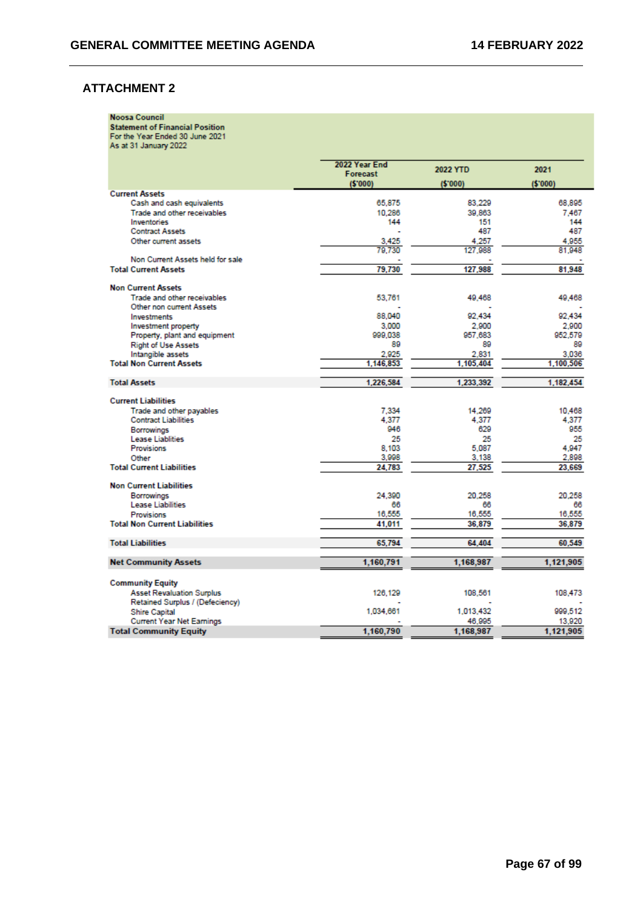|  | <b>Noosa Council</b> |  |
|--|----------------------|--|
|  |                      |  |
|  |                      |  |

Noosa Council<br>Statement of Financial Position<br>For the Year Ended 30 June 2021<br>As at 31 January 2022

|                                      | 2022 Year End |           |           |
|--------------------------------------|---------------|-----------|-----------|
|                                      | Forecast      | 2022 YTD  | 2021      |
|                                      | (5'000)       | (5'000)   | (\$'000)  |
| <b>Current Assets</b>                |               |           |           |
| Cash and cash equivalents            | 65,875        | 83.229    | 68,895    |
| Trade and other receivables          | 10.286        | 39.863    | 7.467     |
| Inventories                          | 144           | 151       | 144       |
| <b>Contract Assets</b>               |               | 487       | 487       |
| Other current assets                 | 3,425         | 4.257     | 4,955     |
|                                      | 79.730        | 127.988   | 81,948    |
| Non Current Assets held for sale     |               |           |           |
| <b>Total Current Assets</b>          | 79,730        | 127,988   | 81,948    |
| <b>Non Current Assets</b>            |               |           |           |
| Trade and other receivables.         | 53.761        | 49.468    | 49,468    |
| Other non current Assets             |               |           |           |
| <b>Investments</b>                   | 88,040        | 92.434    | 92.434    |
| Investment property                  | 3,000         | 2.900     | 2,900     |
| Property, plant and equipment        | 999.038       | 957.683   | 952,579   |
| <b>Right of Use Assets</b>           | 89            | 89        | 89        |
| Intangible assets                    | 2.925         | 2.831     | 3.036     |
| <b>Total Non Current Assets</b>      | 1,146,853     | 1.105.404 | 1,100,506 |
| <b>Total Assets</b>                  | 1,226,584     | 1,233,392 | 1,182,454 |
|                                      |               |           |           |
| <b>Current Liabilities</b>           |               |           |           |
| Trade and other payables             | 7.334         | 14.269    | 10,468    |
| <b>Contract Liabilities</b>          | 4.377         | 4.377     | 4.377     |
| <b>Borrowings</b>                    | 946           | 629       | 955       |
| <b>Lease Liablities</b>              | 25            | 25        | 25        |
| <b>Provisions</b>                    | 8.103         | 5.087     | 4.947     |
| Other                                | 3,998         | 3,138     | 2,898     |
| <b>Total Current Liabilities</b>     | 24.783        | 27,525    | 23,669    |
| <b>Non Current Liabilities</b>       |               |           |           |
| Borrowings                           | 24.390        | 20.258    | 20.258    |
| Lease Liabilities                    | 66            | 66        | 66        |
| <b>Provisions</b>                    | 16,555        | 16,555    | 16,555    |
| <b>Total Non Current Liabilities</b> | 41.011        | 36,879    | 36,879    |
|                                      |               |           |           |
| <b>Total Liabilities</b>             | 65,794        | 64.404    | 60,549    |
| <b>Net Community Assets</b>          | 1,160,791     | 1,168,987 | 1,121,905 |
|                                      |               |           |           |
| <b>Community Equity</b>              |               |           |           |
| <b>Asset Revaluation Surplus</b>     | 126,129       | 108.561   | 108,473   |
| Retained Surplus / (Defeciency)      |               |           |           |
| <b>Shire Capital</b>                 | 1,034,661     | 1.013.432 | 999.512   |
| <b>Current Year Net Earnings</b>     |               | 46,995    | 13,920    |
| <b>Total Community Equity</b>        | 1,160,790     | 1.168.987 | 1,121,905 |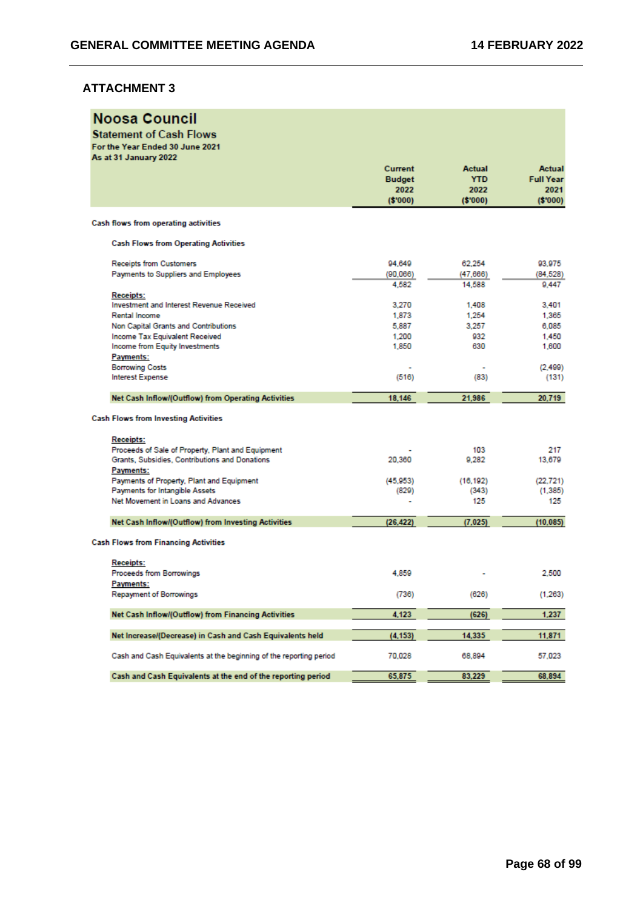| As at 31 January 2022<br><b>Actual</b><br>Current<br><b>Actual</b><br><b>Full Year</b><br><b>YTD</b><br><b>Budget</b><br>2022<br>2022<br>2021<br>( \$'000)<br>(5'000)<br>(S'000)<br>Cash flows from operating activities<br><b>Cash Flows from Operating Activities</b><br><b>Receipts from Customers</b><br>94.649<br>62,254<br>93,975<br>Payments to Suppliers and Employees<br>(90.066)<br>(47, 666)<br>(84, 528)<br>4.582<br>14,588<br>9.447<br><b>Receipts:</b><br>Investment and Interest Revenue Received<br>3.401<br>3.270<br>1,408<br>Rental Income<br>1,873<br>1,254<br>1.365<br>5,887<br>3.257<br>Non Capital Grants and Contributions<br>6,085<br><b>Income Tax Equivalent Received</b><br>1,200<br>932<br>1,450<br>Income from Equity Investments<br>1,850<br>630<br>1,600<br>Payments:<br><b>Borrowing Costs</b><br>(2, 499)<br><b>Interest Expense</b><br>(516)<br>(83)<br>(131)<br>Net Cash Inflow/(Outflow) from Operating Activities<br>18,146<br>21.986<br>20,719<br><b>Cash Flows from Investing Activities</b><br><b>Receipts:</b><br>Proceeds of Sale of Property, Plant and Equipment<br>103<br>217<br>Grants, Subsidies, Contributions and Donations<br>20,360<br>9,282<br>13,679<br>Payments:<br>Payments of Property, Plant and Equipment<br>(45, 953)<br>(16, 192)<br>(22, 721)<br>Payments for Intangible Assets<br>(829)<br>(343)<br>(1, 385)<br>Net Movement in Loans and Advances<br>125<br>125<br>Net Cash Inflow/(Outflow) from Investing Activities<br>(26, 422)<br>(7,025)<br>(10, 085)<br><b>Cash Flows from Financing Activities</b><br><b>Receipts:</b><br>Proceeds from Borrowings<br>4,859<br>2.500<br>Payments:<br>(736)<br>(626)<br>(1, 263)<br>Repayment of Borrowings<br>1,237<br>4,123<br>(626)<br>Net Cash Inflow/(Outflow) from Financing Activities<br>11,871<br>14,335<br>Net Increase/(Decrease) in Cash and Cash Equivalents held<br>(4, 153)<br>Cash and Cash Equivalents at the beginning of the reporting period<br>70,028<br>68,894<br>57,023 | <b>Noosa Council</b><br><b>Statement of Cash Flows</b><br>For the Year Ended 30 June 2021 |        |        |        |
|------------------------------------------------------------------------------------------------------------------------------------------------------------------------------------------------------------------------------------------------------------------------------------------------------------------------------------------------------------------------------------------------------------------------------------------------------------------------------------------------------------------------------------------------------------------------------------------------------------------------------------------------------------------------------------------------------------------------------------------------------------------------------------------------------------------------------------------------------------------------------------------------------------------------------------------------------------------------------------------------------------------------------------------------------------------------------------------------------------------------------------------------------------------------------------------------------------------------------------------------------------------------------------------------------------------------------------------------------------------------------------------------------------------------------------------------------------------------------------------------------------------------------------------------------------------------------------------------------------------------------------------------------------------------------------------------------------------------------------------------------------------------------------------------------------------------------------------------------------------------------------------------------------------------------------------------------------------------------------------------------|-------------------------------------------------------------------------------------------|--------|--------|--------|
|                                                                                                                                                                                                                                                                                                                                                                                                                                                                                                                                                                                                                                                                                                                                                                                                                                                                                                                                                                                                                                                                                                                                                                                                                                                                                                                                                                                                                                                                                                                                                                                                                                                                                                                                                                                                                                                                                                                                                                                                      |                                                                                           |        |        |        |
|                                                                                                                                                                                                                                                                                                                                                                                                                                                                                                                                                                                                                                                                                                                                                                                                                                                                                                                                                                                                                                                                                                                                                                                                                                                                                                                                                                                                                                                                                                                                                                                                                                                                                                                                                                                                                                                                                                                                                                                                      |                                                                                           |        |        |        |
|                                                                                                                                                                                                                                                                                                                                                                                                                                                                                                                                                                                                                                                                                                                                                                                                                                                                                                                                                                                                                                                                                                                                                                                                                                                                                                                                                                                                                                                                                                                                                                                                                                                                                                                                                                                                                                                                                                                                                                                                      |                                                                                           |        |        |        |
|                                                                                                                                                                                                                                                                                                                                                                                                                                                                                                                                                                                                                                                                                                                                                                                                                                                                                                                                                                                                                                                                                                                                                                                                                                                                                                                                                                                                                                                                                                                                                                                                                                                                                                                                                                                                                                                                                                                                                                                                      |                                                                                           |        |        |        |
|                                                                                                                                                                                                                                                                                                                                                                                                                                                                                                                                                                                                                                                                                                                                                                                                                                                                                                                                                                                                                                                                                                                                                                                                                                                                                                                                                                                                                                                                                                                                                                                                                                                                                                                                                                                                                                                                                                                                                                                                      |                                                                                           |        |        |        |
|                                                                                                                                                                                                                                                                                                                                                                                                                                                                                                                                                                                                                                                                                                                                                                                                                                                                                                                                                                                                                                                                                                                                                                                                                                                                                                                                                                                                                                                                                                                                                                                                                                                                                                                                                                                                                                                                                                                                                                                                      |                                                                                           |        |        |        |
|                                                                                                                                                                                                                                                                                                                                                                                                                                                                                                                                                                                                                                                                                                                                                                                                                                                                                                                                                                                                                                                                                                                                                                                                                                                                                                                                                                                                                                                                                                                                                                                                                                                                                                                                                                                                                                                                                                                                                                                                      |                                                                                           |        |        |        |
|                                                                                                                                                                                                                                                                                                                                                                                                                                                                                                                                                                                                                                                                                                                                                                                                                                                                                                                                                                                                                                                                                                                                                                                                                                                                                                                                                                                                                                                                                                                                                                                                                                                                                                                                                                                                                                                                                                                                                                                                      |                                                                                           |        |        |        |
|                                                                                                                                                                                                                                                                                                                                                                                                                                                                                                                                                                                                                                                                                                                                                                                                                                                                                                                                                                                                                                                                                                                                                                                                                                                                                                                                                                                                                                                                                                                                                                                                                                                                                                                                                                                                                                                                                                                                                                                                      |                                                                                           |        |        |        |
|                                                                                                                                                                                                                                                                                                                                                                                                                                                                                                                                                                                                                                                                                                                                                                                                                                                                                                                                                                                                                                                                                                                                                                                                                                                                                                                                                                                                                                                                                                                                                                                                                                                                                                                                                                                                                                                                                                                                                                                                      |                                                                                           |        |        |        |
|                                                                                                                                                                                                                                                                                                                                                                                                                                                                                                                                                                                                                                                                                                                                                                                                                                                                                                                                                                                                                                                                                                                                                                                                                                                                                                                                                                                                                                                                                                                                                                                                                                                                                                                                                                                                                                                                                                                                                                                                      |                                                                                           |        |        |        |
|                                                                                                                                                                                                                                                                                                                                                                                                                                                                                                                                                                                                                                                                                                                                                                                                                                                                                                                                                                                                                                                                                                                                                                                                                                                                                                                                                                                                                                                                                                                                                                                                                                                                                                                                                                                                                                                                                                                                                                                                      |                                                                                           |        |        |        |
|                                                                                                                                                                                                                                                                                                                                                                                                                                                                                                                                                                                                                                                                                                                                                                                                                                                                                                                                                                                                                                                                                                                                                                                                                                                                                                                                                                                                                                                                                                                                                                                                                                                                                                                                                                                                                                                                                                                                                                                                      |                                                                                           |        |        |        |
|                                                                                                                                                                                                                                                                                                                                                                                                                                                                                                                                                                                                                                                                                                                                                                                                                                                                                                                                                                                                                                                                                                                                                                                                                                                                                                                                                                                                                                                                                                                                                                                                                                                                                                                                                                                                                                                                                                                                                                                                      |                                                                                           |        |        |        |
|                                                                                                                                                                                                                                                                                                                                                                                                                                                                                                                                                                                                                                                                                                                                                                                                                                                                                                                                                                                                                                                                                                                                                                                                                                                                                                                                                                                                                                                                                                                                                                                                                                                                                                                                                                                                                                                                                                                                                                                                      |                                                                                           |        |        |        |
|                                                                                                                                                                                                                                                                                                                                                                                                                                                                                                                                                                                                                                                                                                                                                                                                                                                                                                                                                                                                                                                                                                                                                                                                                                                                                                                                                                                                                                                                                                                                                                                                                                                                                                                                                                                                                                                                                                                                                                                                      |                                                                                           |        |        |        |
|                                                                                                                                                                                                                                                                                                                                                                                                                                                                                                                                                                                                                                                                                                                                                                                                                                                                                                                                                                                                                                                                                                                                                                                                                                                                                                                                                                                                                                                                                                                                                                                                                                                                                                                                                                                                                                                                                                                                                                                                      |                                                                                           |        |        |        |
|                                                                                                                                                                                                                                                                                                                                                                                                                                                                                                                                                                                                                                                                                                                                                                                                                                                                                                                                                                                                                                                                                                                                                                                                                                                                                                                                                                                                                                                                                                                                                                                                                                                                                                                                                                                                                                                                                                                                                                                                      |                                                                                           |        |        |        |
|                                                                                                                                                                                                                                                                                                                                                                                                                                                                                                                                                                                                                                                                                                                                                                                                                                                                                                                                                                                                                                                                                                                                                                                                                                                                                                                                                                                                                                                                                                                                                                                                                                                                                                                                                                                                                                                                                                                                                                                                      |                                                                                           |        |        |        |
|                                                                                                                                                                                                                                                                                                                                                                                                                                                                                                                                                                                                                                                                                                                                                                                                                                                                                                                                                                                                                                                                                                                                                                                                                                                                                                                                                                                                                                                                                                                                                                                                                                                                                                                                                                                                                                                                                                                                                                                                      |                                                                                           |        |        |        |
|                                                                                                                                                                                                                                                                                                                                                                                                                                                                                                                                                                                                                                                                                                                                                                                                                                                                                                                                                                                                                                                                                                                                                                                                                                                                                                                                                                                                                                                                                                                                                                                                                                                                                                                                                                                                                                                                                                                                                                                                      |                                                                                           |        |        |        |
|                                                                                                                                                                                                                                                                                                                                                                                                                                                                                                                                                                                                                                                                                                                                                                                                                                                                                                                                                                                                                                                                                                                                                                                                                                                                                                                                                                                                                                                                                                                                                                                                                                                                                                                                                                                                                                                                                                                                                                                                      |                                                                                           |        |        |        |
|                                                                                                                                                                                                                                                                                                                                                                                                                                                                                                                                                                                                                                                                                                                                                                                                                                                                                                                                                                                                                                                                                                                                                                                                                                                                                                                                                                                                                                                                                                                                                                                                                                                                                                                                                                                                                                                                                                                                                                                                      |                                                                                           |        |        |        |
|                                                                                                                                                                                                                                                                                                                                                                                                                                                                                                                                                                                                                                                                                                                                                                                                                                                                                                                                                                                                                                                                                                                                                                                                                                                                                                                                                                                                                                                                                                                                                                                                                                                                                                                                                                                                                                                                                                                                                                                                      |                                                                                           |        |        |        |
|                                                                                                                                                                                                                                                                                                                                                                                                                                                                                                                                                                                                                                                                                                                                                                                                                                                                                                                                                                                                                                                                                                                                                                                                                                                                                                                                                                                                                                                                                                                                                                                                                                                                                                                                                                                                                                                                                                                                                                                                      |                                                                                           |        |        |        |
|                                                                                                                                                                                                                                                                                                                                                                                                                                                                                                                                                                                                                                                                                                                                                                                                                                                                                                                                                                                                                                                                                                                                                                                                                                                                                                                                                                                                                                                                                                                                                                                                                                                                                                                                                                                                                                                                                                                                                                                                      |                                                                                           |        |        |        |
|                                                                                                                                                                                                                                                                                                                                                                                                                                                                                                                                                                                                                                                                                                                                                                                                                                                                                                                                                                                                                                                                                                                                                                                                                                                                                                                                                                                                                                                                                                                                                                                                                                                                                                                                                                                                                                                                                                                                                                                                      |                                                                                           |        |        |        |
|                                                                                                                                                                                                                                                                                                                                                                                                                                                                                                                                                                                                                                                                                                                                                                                                                                                                                                                                                                                                                                                                                                                                                                                                                                                                                                                                                                                                                                                                                                                                                                                                                                                                                                                                                                                                                                                                                                                                                                                                      |                                                                                           |        |        |        |
|                                                                                                                                                                                                                                                                                                                                                                                                                                                                                                                                                                                                                                                                                                                                                                                                                                                                                                                                                                                                                                                                                                                                                                                                                                                                                                                                                                                                                                                                                                                                                                                                                                                                                                                                                                                                                                                                                                                                                                                                      |                                                                                           |        |        |        |
|                                                                                                                                                                                                                                                                                                                                                                                                                                                                                                                                                                                                                                                                                                                                                                                                                                                                                                                                                                                                                                                                                                                                                                                                                                                                                                                                                                                                                                                                                                                                                                                                                                                                                                                                                                                                                                                                                                                                                                                                      |                                                                                           |        |        |        |
|                                                                                                                                                                                                                                                                                                                                                                                                                                                                                                                                                                                                                                                                                                                                                                                                                                                                                                                                                                                                                                                                                                                                                                                                                                                                                                                                                                                                                                                                                                                                                                                                                                                                                                                                                                                                                                                                                                                                                                                                      |                                                                                           |        |        |        |
|                                                                                                                                                                                                                                                                                                                                                                                                                                                                                                                                                                                                                                                                                                                                                                                                                                                                                                                                                                                                                                                                                                                                                                                                                                                                                                                                                                                                                                                                                                                                                                                                                                                                                                                                                                                                                                                                                                                                                                                                      |                                                                                           |        |        |        |
|                                                                                                                                                                                                                                                                                                                                                                                                                                                                                                                                                                                                                                                                                                                                                                                                                                                                                                                                                                                                                                                                                                                                                                                                                                                                                                                                                                                                                                                                                                                                                                                                                                                                                                                                                                                                                                                                                                                                                                                                      |                                                                                           |        |        |        |
|                                                                                                                                                                                                                                                                                                                                                                                                                                                                                                                                                                                                                                                                                                                                                                                                                                                                                                                                                                                                                                                                                                                                                                                                                                                                                                                                                                                                                                                                                                                                                                                                                                                                                                                                                                                                                                                                                                                                                                                                      |                                                                                           |        |        |        |
|                                                                                                                                                                                                                                                                                                                                                                                                                                                                                                                                                                                                                                                                                                                                                                                                                                                                                                                                                                                                                                                                                                                                                                                                                                                                                                                                                                                                                                                                                                                                                                                                                                                                                                                                                                                                                                                                                                                                                                                                      |                                                                                           |        |        |        |
|                                                                                                                                                                                                                                                                                                                                                                                                                                                                                                                                                                                                                                                                                                                                                                                                                                                                                                                                                                                                                                                                                                                                                                                                                                                                                                                                                                                                                                                                                                                                                                                                                                                                                                                                                                                                                                                                                                                                                                                                      |                                                                                           |        |        |        |
|                                                                                                                                                                                                                                                                                                                                                                                                                                                                                                                                                                                                                                                                                                                                                                                                                                                                                                                                                                                                                                                                                                                                                                                                                                                                                                                                                                                                                                                                                                                                                                                                                                                                                                                                                                                                                                                                                                                                                                                                      |                                                                                           |        |        |        |
|                                                                                                                                                                                                                                                                                                                                                                                                                                                                                                                                                                                                                                                                                                                                                                                                                                                                                                                                                                                                                                                                                                                                                                                                                                                                                                                                                                                                                                                                                                                                                                                                                                                                                                                                                                                                                                                                                                                                                                                                      | Cash and Cash Equivalents at the end of the reporting period                              | 65,875 | 83,229 | 68,894 |